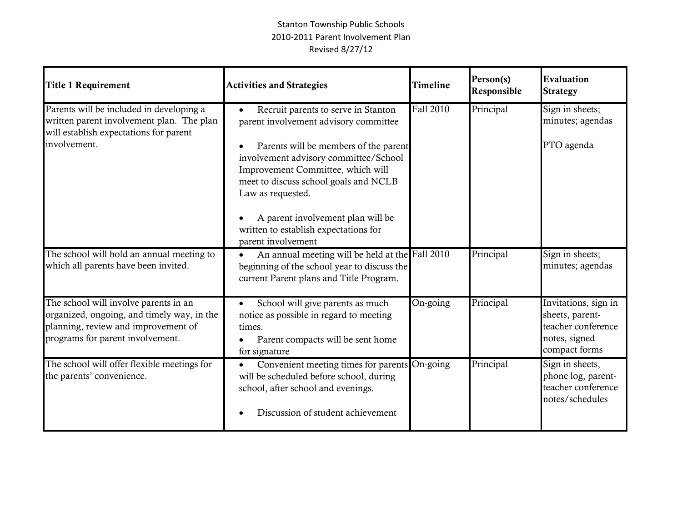| <b>Title 1 Requirement</b>                                                                                                                                     | <b>Activities and Strategies</b>                                                                                                                                                                                                                                                                                                                                      | <b>Timeline</b> | Person(s)<br>Responsible | Evaluation<br><b>Strategy</b>                                                                   |
|----------------------------------------------------------------------------------------------------------------------------------------------------------------|-----------------------------------------------------------------------------------------------------------------------------------------------------------------------------------------------------------------------------------------------------------------------------------------------------------------------------------------------------------------------|-----------------|--------------------------|-------------------------------------------------------------------------------------------------|
| Parents will be included in developing a<br>written parent involvement plan. The plan<br>will establish expectations for parent<br>involvement.                | Recruit parents to serve in Stanton<br>parent involvement advisory committee<br>Parents will be members of the parent<br>involvement advisory committee/School<br>Improvement Committee, which will<br>meet to discuss school goals and NCLB<br>Law as requested.<br>A parent involvement plan will be<br>written to establish expectations for<br>parent involvement | Fall 2010       | Principal                | Sign in sheets;<br>minutes; agendas<br>PTO agenda                                               |
| The school will hold an annual meeting to<br>which all parents have been invited.                                                                              | An annual meeting will be held at the Fall 2010<br>$\bullet$<br>beginning of the school year to discuss the<br>current Parent plans and Title Program.                                                                                                                                                                                                                |                 | Principal                | Sign in sheets;<br>minutes; agendas                                                             |
| The school will involve parents in an<br>organized, ongoing, and timely way, in the<br>planning, review and improvement of<br>programs for parent involvement. | School will give parents as much<br>$\bullet$<br>notice as possible in regard to meeting<br>times.<br>Parent compacts will be sent home<br>for signature                                                                                                                                                                                                              | On-going        | Principal                | Invitations, sign in<br>sheets, parent-<br>teacher conference<br>notes, signed<br>compact forms |
| The school will offer flexible meetings for<br>the parents' convenience.                                                                                       | Convenient meeting times for parents On-going<br>will be scheduled before school, during<br>school, after school and evenings.<br>Discussion of student achievement                                                                                                                                                                                                   |                 | Principal                | Sign in sheets,<br>phone log, parent-<br>teacher conference<br>notes/schedules                  |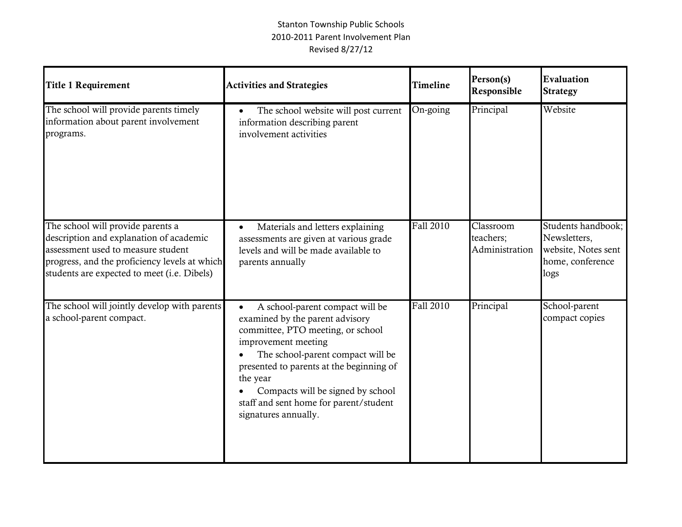| <b>Title 1 Requirement</b>                                                                                                                                                                                         | <b>Activities and Strategies</b>                                                                                                                                                                                                                                                                                                   | <b>Timeline</b> | Person(s)<br>Responsible                 | Evaluation<br><b>Strategy</b>                                                         |
|--------------------------------------------------------------------------------------------------------------------------------------------------------------------------------------------------------------------|------------------------------------------------------------------------------------------------------------------------------------------------------------------------------------------------------------------------------------------------------------------------------------------------------------------------------------|-----------------|------------------------------------------|---------------------------------------------------------------------------------------|
| The school will provide parents timely<br>information about parent involvement<br>programs.                                                                                                                        | The school website will post current<br>information describing parent<br>involvement activities                                                                                                                                                                                                                                    | On-going        | Principal                                | Website                                                                               |
| The school will provide parents a<br>description and explanation of academic<br>assessment used to measure student<br>progress, and the proficiency levels at which<br>students are expected to meet (i.e. Dibels) | Materials and letters explaining<br>$\bullet$<br>assessments are given at various grade<br>levels and will be made available to<br>parents annually                                                                                                                                                                                | Fall 2010       | Classroom<br>teachers;<br>Administration | Students handbook;<br>Newsletters,<br>website, Notes sent<br>home, conference<br>logs |
| The school will jointly develop with parents<br>a school-parent compact.                                                                                                                                           | A school-parent compact will be<br>examined by the parent advisory<br>committee, PTO meeting, or school<br>improvement meeting<br>The school-parent compact will be<br>presented to parents at the beginning of<br>the year<br>Compacts will be signed by school<br>staff and sent home for parent/student<br>signatures annually. | Fall 2010       | Principal                                | School-parent<br>compact copies                                                       |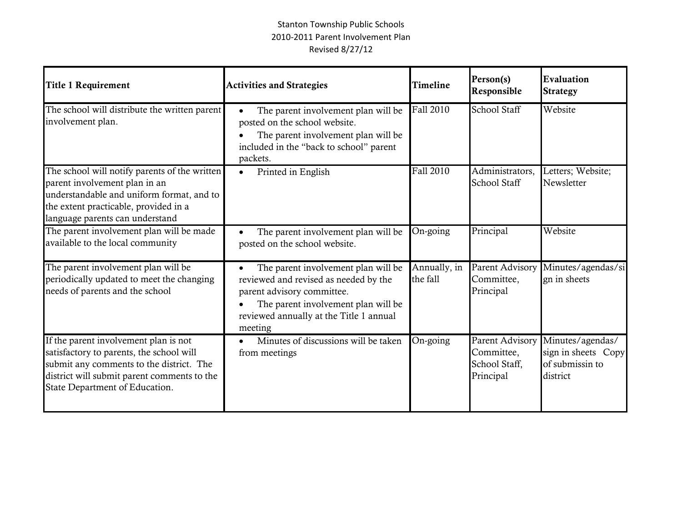| <b>Title 1 Requirement</b>                                                                                                                                                                                     | <b>Activities and Strategies</b>                                                                                                                                                                        | <b>Timeline</b>          | Person(s)<br>Responsible                                           | Evaluation<br><b>Strategy</b>                                          |
|----------------------------------------------------------------------------------------------------------------------------------------------------------------------------------------------------------------|---------------------------------------------------------------------------------------------------------------------------------------------------------------------------------------------------------|--------------------------|--------------------------------------------------------------------|------------------------------------------------------------------------|
| The school will distribute the written parent<br>involvement plan.                                                                                                                                             | The parent involvement plan will be<br>posted on the school website.<br>The parent involvement plan will be<br>included in the "back to school" parent<br>packets.                                      | Fall 2010                | School Staff                                                       | Website                                                                |
| The school will notify parents of the written<br>parent involvement plan in an<br>understandable and uniform format, and to<br>the extent practicable, provided in a<br>language parents can understand        | Printed in English<br>$\bullet$                                                                                                                                                                         | Fall 2010                | Administrators,<br>School Staff                                    | Letters; Website;<br>Newsletter                                        |
| The parent involvement plan will be made<br>available to the local community                                                                                                                                   | The parent involvement plan will be<br>posted on the school website.                                                                                                                                    | On-going                 | Principal                                                          | Website                                                                |
| The parent involvement plan will be<br>periodically updated to meet the changing<br>needs of parents and the school                                                                                            | The parent involvement plan will be<br>reviewed and revised as needed by the<br>parent advisory committee.<br>The parent involvement plan will be<br>reviewed annually at the Title 1 annual<br>meeting | Annually, in<br>the fall | <b>Parent Advisory</b><br>Committee,<br>Principal                  | Minutes/agendas/si<br>gn in sheets                                     |
| If the parent involvement plan is not<br>satisfactory to parents, the school will<br>submit any comments to the district. The<br>district will submit parent comments to the<br>State Department of Education. | Minutes of discussions will be taken<br>from meetings                                                                                                                                                   | On-going                 | <b>Parent Advisory</b><br>Committee,<br>School Staff,<br>Principal | Minutes/agendas/<br>sign in sheets Copy<br>of submissin to<br>district |